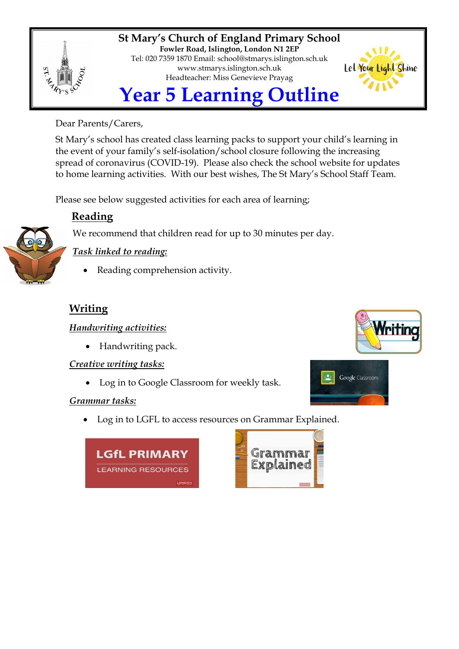

**St Mary's Church of England Primary School Fowler Road, Islington, London N1 2EP** Tel: 020 7359 1870 Email: [school@stmarys.islington.sch.uk](mailto:school@stmarys.islington.sch.uk) [www.stmarys.islington.sch.uk](http://www.stmarys.islington.sch.uk/) Headteacher: Miss Genevieve Prayag



Dear Parents/Carers,

St Mary's school has created class learning packs to support your child's learning in the event of your family's self-isolation/school closure following the increasing spread of coronavirus (COVID-19). Please also check the school website for updates to home learning activities. With our best wishes, The St Mary's School Staff Team.

Please see below suggested activities for each area of learning;

# **Reading**

We recommend that children read for up to 30 minutes per day.



# *Task linked to reading:*

Reading comprehension activity.

# **Writing**

## *Handwriting activities:*

• Handwriting pack.

## *Creative writing tasks:*

Log in to Google Classroom for weekly task.

## *Grammar tasks:*

• Log in to LGFL to access resources on Grammar Explained.







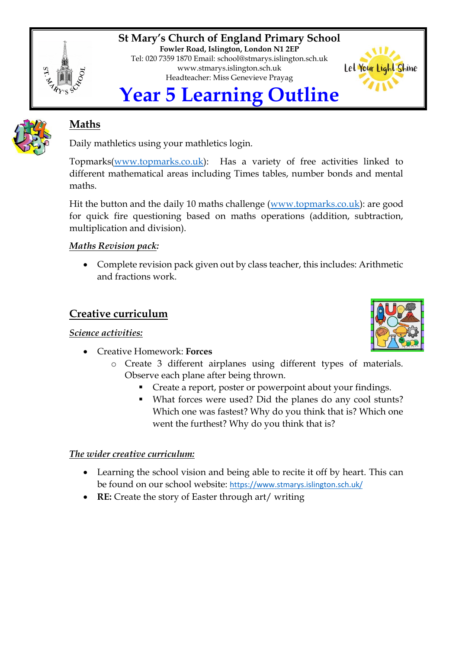

**St Mary's Church of England Primary School Fowler Road, Islington, London N1 2EP** Tel: 020 7359 1870 Email: [school@stmarys.islington.sch.uk](mailto:school@stmarys.islington.sch.uk) [www.stmarys.islington.sch.uk](http://www.stmarys.islington.sch.uk/) Headteacher: Miss Genevieve Prayag



# **Maths**

Daily mathletics using your mathletics login.

Topmarks[\(www.topmarks.co.uk\)](http://www.topmarks.co.uk/): Has a variety of free activities linked to different mathematical areas including Times tables, number bonds and mental maths.

Hit the button and the daily 10 maths challenge [\(www.topmarks.co.uk\)](http://www.topmarks.co.uk/): are good for quick fire questioning based on maths operations (addition, subtraction, multiplication and division).

## *Maths Revision pack:*

 Complete revision pack given out by class teacher, this includes: Arithmetic and fractions work.

## **Creative curriculum**

## *Science activities:*

- Creative Homework: **Forces**
	- o Create 3 different airplanes using different types of materials. Observe each plane after being thrown.
		- **Create a report, poster or powerpoint about your findings.**
		- What forces were used? Did the planes do any cool stunts? Which one was fastest? Why do you think that is? Which one went the furthest? Why do you think that is?

## *The wider creative curriculum:*

- Learning the school vision and being able to recite it off by heart. This can be found on our school website: <https://www.stmarys.islington.sch.uk/>
- **RE:** Create the story of Easter through art/ writing